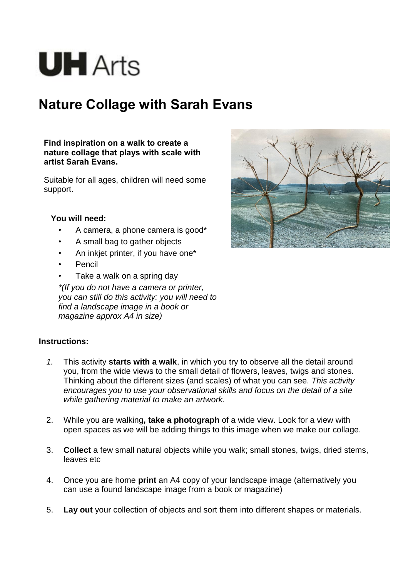# **UH** Arts

# **Nature Collage with Sarah Evans**

**Find inspiration on a walk to create a nature collage that plays with scale with artist Sarah Evans.**

Suitable for all ages, children will need some support.

## **You will need:**

- A camera, a phone camera is good\*
- A small bag to gather objects
- An inkjet printer, if you have one\*
- **Pencil**
- Take a walk on a spring day

*\*(If you do not have a camera or printer, you can still do this activity: you will need to find a landscape image in a book or magazine approx A4 in size)*

#### **Instructions:**

- *1.* This activity **starts with a walk**, in which you try to observe all the detail around you, from the wide views to the small detail of flowers, leaves, twigs and stones. Thinking about the different sizes (and scales) of what you can see. *This activity encourages you to use your observational skills and focus on the detail of a site while gathering material to make an artwork.*
- 2. While you are walking**, take a photograph** of a wide view. Look for a view with open spaces as we will be adding things to this image when we make our collage.
- 3. **Collect** a few small natural objects while you walk; small stones, twigs, dried stems, leaves etc
- 4. Once you are home **print** an A4 copy of your landscape image (alternatively you can use a found landscape image from a book or magazine)
- 5. **Lay out** your collection of objects and sort them into different shapes or materials.